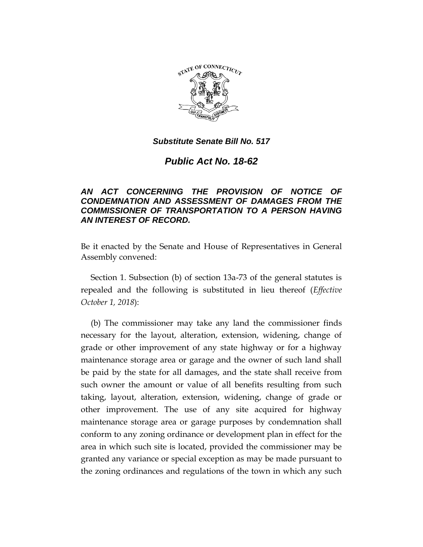

## *Substitute Senate Bill No. 517*

*Public Act No. 18-62*

## *AN ACT CONCERNING THE PROVISION OF NOTICE OF CONDEMNATION AND ASSESSMENT OF DAMAGES FROM THE COMMISSIONER OF TRANSPORTATION TO A PERSON HAVING AN INTEREST OF RECORD.*

Be it enacted by the Senate and House of Representatives in General Assembly convened:

Section 1. Subsection (b) of section 13a-73 of the general statutes is repealed and the following is substituted in lieu thereof (*Effective October 1, 2018*):

(b) The commissioner may take any land the commissioner finds necessary for the layout, alteration, extension, widening, change of grade or other improvement of any state highway or for a highway maintenance storage area or garage and the owner of such land shall be paid by the state for all damages, and the state shall receive from such owner the amount or value of all benefits resulting from such taking, layout, alteration, extension, widening, change of grade or other improvement. The use of any site acquired for highway maintenance storage area or garage purposes by condemnation shall conform to any zoning ordinance or development plan in effect for the area in which such site is located, provided the commissioner may be granted any variance or special exception as may be made pursuant to the zoning ordinances and regulations of the town in which any such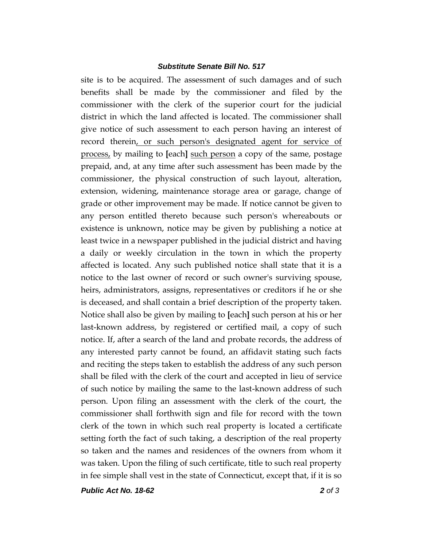## *Substitute Senate Bill No. 517*

site is to be acquired. The assessment of such damages and of such benefits shall be made by the commissioner and filed by the commissioner with the clerk of the superior court for the judicial district in which the land affected is located. The commissioner shall give notice of such assessment to each person having an interest of record therein, or such person's designated agent for service of process, by mailing to **[**each**]** such person a copy of the same, postage prepaid, and, at any time after such assessment has been made by the commissioner, the physical construction of such layout, alteration, extension, widening, maintenance storage area or garage, change of grade or other improvement may be made. If notice cannot be given to any person entitled thereto because such person's whereabouts or existence is unknown, notice may be given by publishing a notice at least twice in a newspaper published in the judicial district and having a daily or weekly circulation in the town in which the property affected is located. Any such published notice shall state that it is a notice to the last owner of record or such owner's surviving spouse, heirs, administrators, assigns, representatives or creditors if he or she is deceased, and shall contain a brief description of the property taken. Notice shall also be given by mailing to **[**each**]** such person at his or her last-known address, by registered or certified mail, a copy of such notice. If, after a search of the land and probate records, the address of any interested party cannot be found, an affidavit stating such facts and reciting the steps taken to establish the address of any such person shall be filed with the clerk of the court and accepted in lieu of service of such notice by mailing the same to the last-known address of such person. Upon filing an assessment with the clerk of the court, the commissioner shall forthwith sign and file for record with the town clerk of the town in which such real property is located a certificate setting forth the fact of such taking, a description of the real property so taken and the names and residences of the owners from whom it was taken. Upon the filing of such certificate, title to such real property in fee simple shall vest in the state of Connecticut, except that, if it is so

*Public Act No. 18-62 2 of 3*